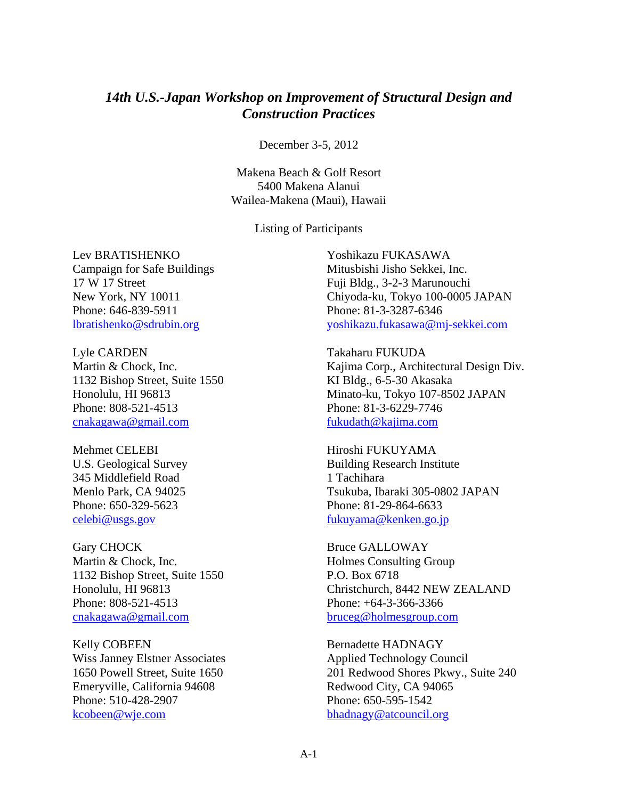## *14th U.S.-Japan Workshop on Improvement of Structural Design and Construction Practices*

December 3-5, 2012

Makena Beach & Golf Resort 5400 Makena Alanui Wailea-Makena (Maui), Hawaii

Listing of Participants

Lev BRATISHENKO Campaign for Safe Buildings 17 W 17 Street New York, NY 10011 Phone: 646-839-5911 lbratishenko@sdrubin.org

Lyle CARDEN Martin & Chock, Inc. 1132 Bishop Street, Suite 1550 Honolulu, HI 96813 Phone: 808-521-4513 cnakagawa@gmail.com

Mehmet CELEBI U.S. Geological Survey 345 Middlefield Road Menlo Park, CA 94025 Phone: 650-329-5623 celebi@usgs.gov

Gary CHOCK Martin & Chock, Inc. 1132 Bishop Street, Suite 1550 Honolulu, HI 96813 Phone: 808-521-4513 cnakagawa@gmail.com

Kelly COBEEN Wiss Janney Elstner Associates 1650 Powell Street, Suite 1650 Emeryville, California 94608 Phone: 510-428-2907 kcobeen@wje.com

Yoshikazu FUKASAWA Mitusbishi Jisho Sekkei, Inc. Fuji Bldg., 3-2-3 Marunouchi Chiyoda-ku, Tokyo 100-0005 JAPAN Phone: 81-3-3287-6346 yoshikazu.fukasawa@mj-sekkei.com

Takaharu FUKUDA Kajima Corp., Architectural Design Div. KI Bldg., 6-5-30 Akasaka Minato-ku, Tokyo 107-8502 JAPAN Phone: 81-3-6229-7746 fukudath@kajima.com

Hiroshi FUKUYAMA Building Research Institute 1 Tachihara Tsukuba, Ibaraki 305-0802 JAPAN Phone: 81-29-864-6633 fukuyama@kenken.go.jp

Bruce GALLOWAY Holmes Consulting Group P.O. Box 6718 Christchurch, 8442 NEW ZEALAND Phone: +64-3-366-3366 bruceg@holmesgroup.com

Bernadette HADNAGY Applied Technology Council 201 Redwood Shores Pkwy., Suite 240 Redwood City, CA 94065 Phone: 650-595-1542 bhadnagy@atcouncil.org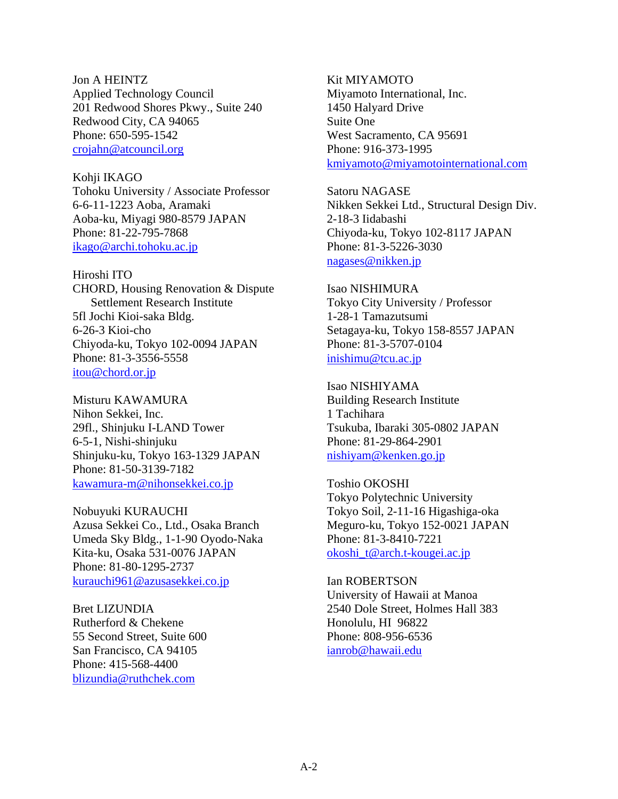Jon A HEINTZ Applied Technology Council 201 Redwood Shores Pkwy., Suite 240 Redwood City, CA 94065 Phone: 650-595-1542 crojahn@atcouncil.org

Kohji IKAGO Tohoku University / Associate Professor 6-6-11-1223 Aoba, Aramaki Aoba-ku, Miyagi 980-8579 JAPAN Phone: 81-22-795-7868 ikago@archi.tohoku.ac.jp

Hiroshi ITO CHORD, Housing Renovation & Dispute Settlement Research Institute 5fl Jochi Kioi-saka Bldg. 6-26-3 Kioi-cho Chiyoda-ku, Tokyo 102-0094 JAPAN Phone: 81-3-3556-5558 itou@chord.or.jp

Misturu KAWAMURA Nihon Sekkei, Inc. 29fl., Shinjuku I-LAND Tower 6-5-1, Nishi-shinjuku Shinjuku-ku, Tokyo 163-1329 JAPAN Phone: 81-50-3139-7182 kawamura-m@nihonsekkei.co.jp

Nobuyuki KURAUCHI Azusa Sekkei Co., Ltd., Osaka Branch Umeda Sky Bldg., 1-1-90 Oyodo-Naka Kita-ku, Osaka 531-0076 JAPAN Phone: 81-80-1295-2737 kurauchi961@azusasekkei.co.jp

Bret LIZUNDIA Rutherford & Chekene 55 Second Street, Suite 600 San Francisco, CA 94105 Phone: 415-568-4400 blizundia@ruthchek.com

Kit MIYAMOTO Miyamoto International, Inc. 1450 Halyard Drive Suite One West Sacramento, CA 95691 Phone: 916-373-1995 kmiyamoto@miyamotointernational.com

Satoru NAGASE Nikken Sekkei Ltd., Structural Design Div. 2-18-3 Iidabashi Chiyoda-ku, Tokyo 102-8117 JAPAN Phone: 81-3-5226-3030 nagases@nikken.jp

Isao NISHIMURA Tokyo City University / Professor 1-28-1 Tamazutsumi Setagaya-ku, Tokyo 158-8557 JAPAN Phone: 81-3-5707-0104 inishimu@tcu.ac.jp

Isao NISHIYAMA Building Research Institute 1 Tachihara Tsukuba, Ibaraki 305-0802 JAPAN Phone: 81-29-864-2901 nishiyam@kenken.go.jp

Toshio OKOSHI Tokyo Polytechnic University Tokyo Soil, 2-11-16 Higashiga-oka Meguro-ku, Tokyo 152-0021 JAPAN Phone: 81-3-8410-7221 okoshi\_t@arch.t-kougei.ac.jp

Ian ROBERTSON University of Hawaii at Manoa 2540 Dole Street, Holmes Hall 383 Honolulu, HI 96822 Phone: 808-956-6536 ianrob@hawaii.edu